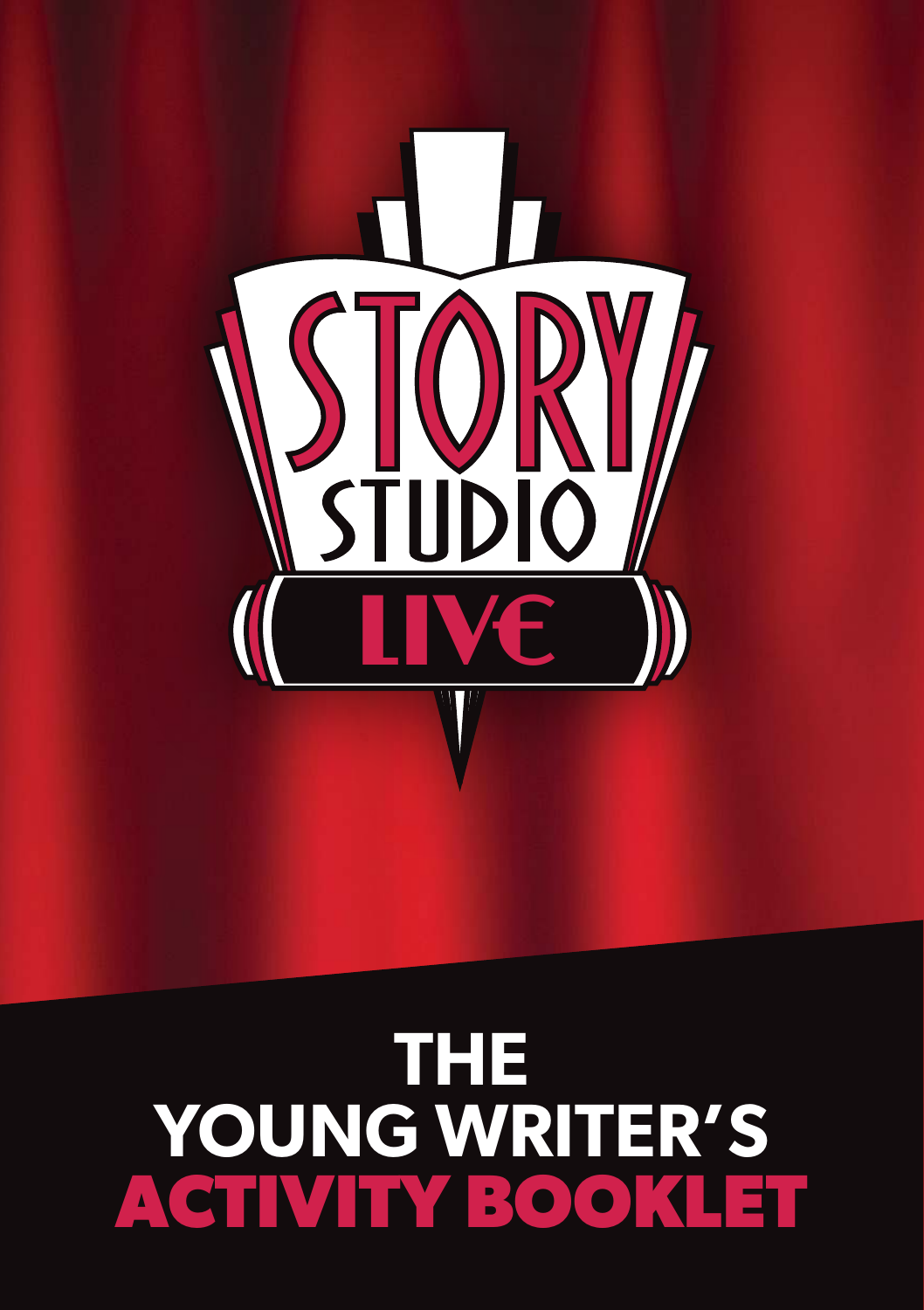

## **THE YOUNG WRITER'S ACTIVITY BOOKLET**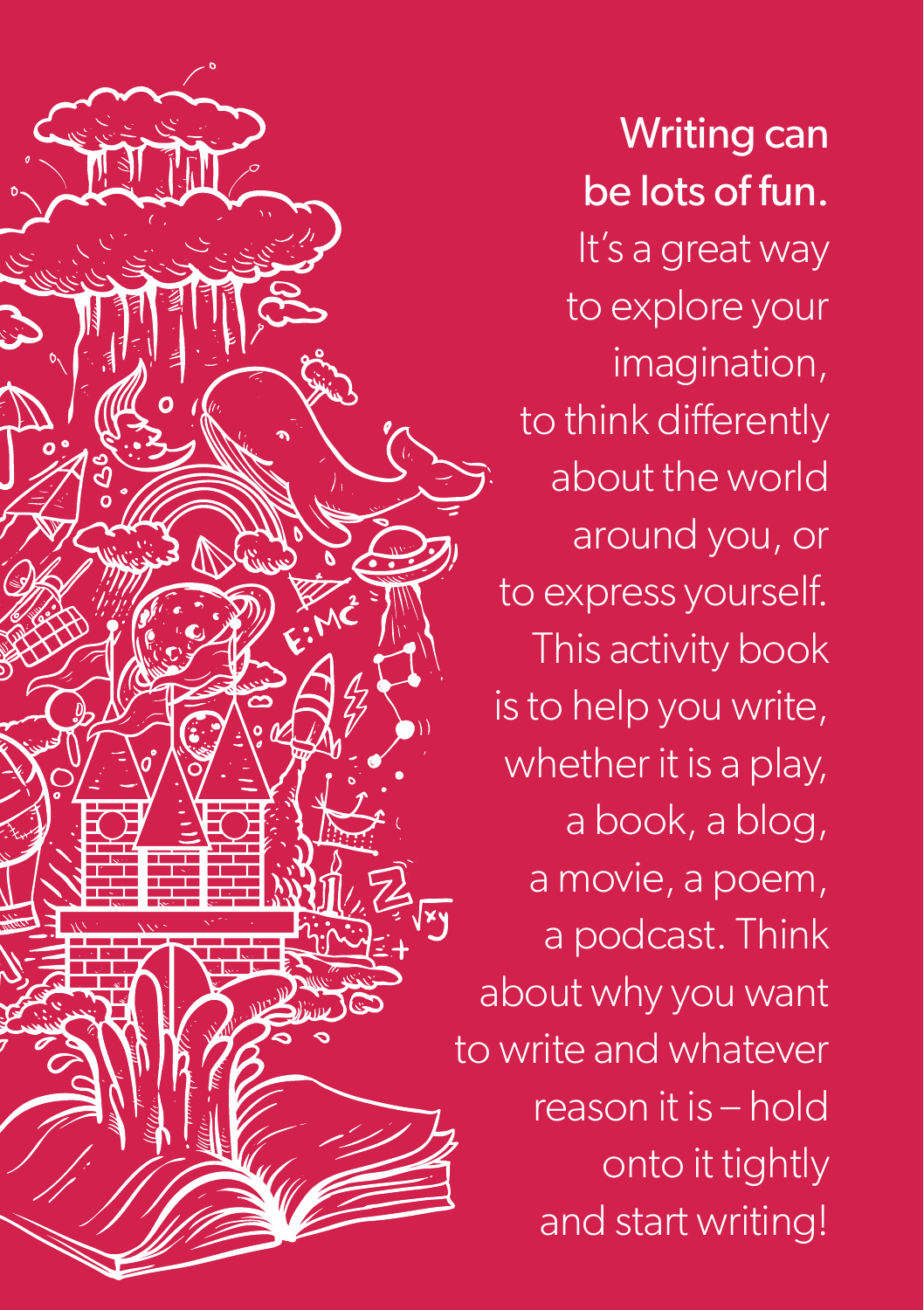

Writing can be lots of fun. It's a great way to explore your imagination, to think differently about the world around you, or to express yourself. This activity book is to help you write, whether it is a play, a book, a blog, a movie, a poem, a podcast. Think about why you want to write and whatever reason it is – hold onto it tightly and start writing!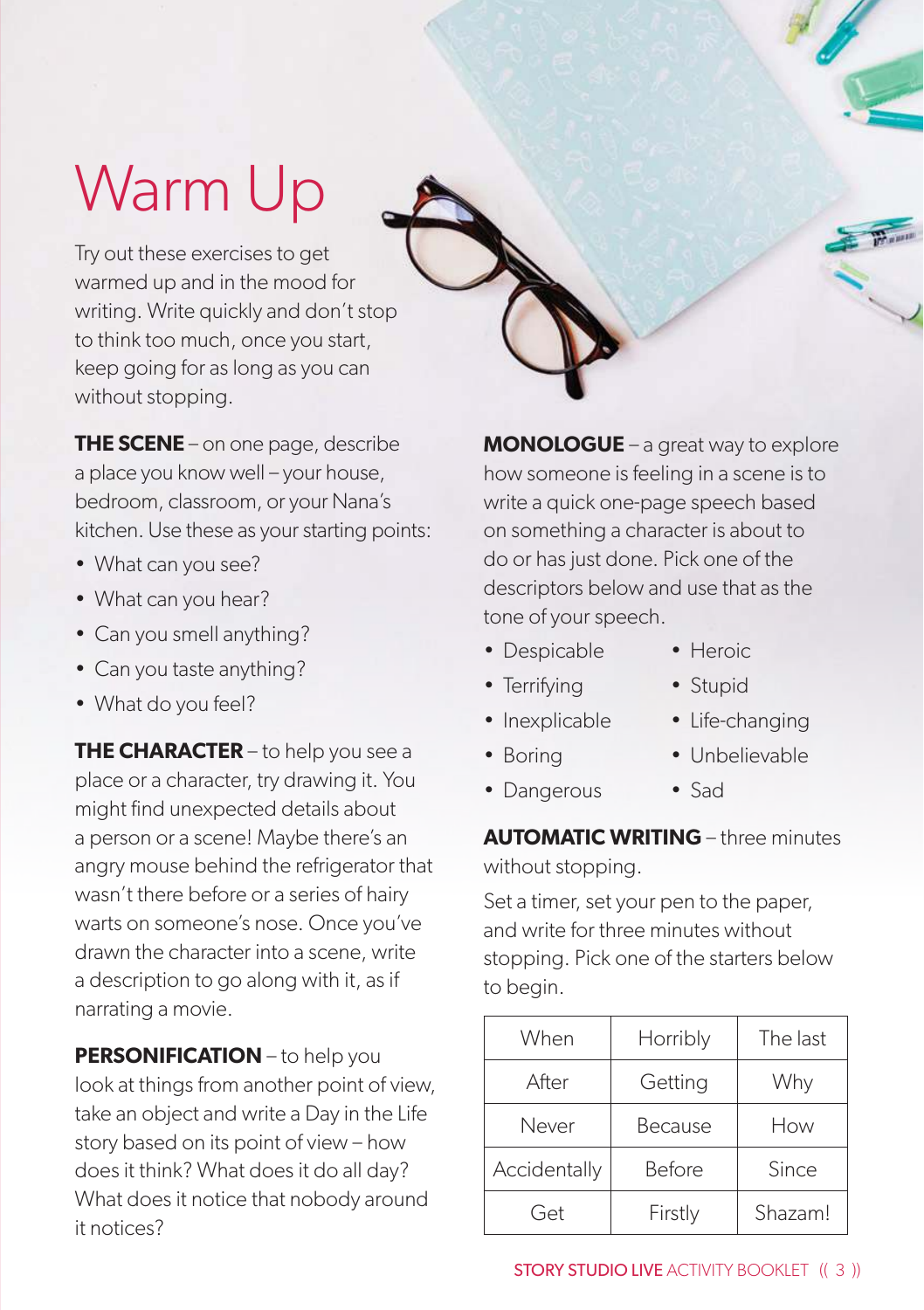# Warm Up

Try out these exercises to get warmed up and in the mood for writing. Write quickly and don't stop to think too much, once you start, keep going for as long as you can without stopping.

**THE SCENE** – on one page, describe a place you know well – your house, bedroom, classroom, or your Nana's kitchen. Use these as your starting points:

- What can you see?
- What can you hear?
- Can you smell anything?
- Can you taste anything?
- What do you feel?

**THE CHARACTER** – to help you see a place or a character, try drawing it. You might find unexpected details about a person or a scene! Maybe there's an angry mouse behind the refrigerator that wasn't there before or a series of hairy warts on someone's nose. Once you've drawn the character into a scene, write a description to go along with it, as if narrating a movie.

**PERSONIFICATION** – to help you look at things from another point of view, take an object and write a Day in the Life story based on its point of view – how does it think? What does it do all day? What does it notice that nobody around it notices?

**MONOLOGUE** – a great way to explore how someone is feeling in a scene is to write a quick one-page speech based on something a character is about to do or has just done. Pick one of the descriptors below and use that as the tone of your speech.

- Despicable Heroic
	-
- Terrifying Stupid
- 
- Inexplicable Life-changing
- 
- Boring Unbelievable
- Dangerous Sad

**AUTOMATIC WRITING** – three minutes without stopping.

Set a timer, set your pen to the paper, and write for three minutes without stopping. Pick one of the starters below to begin.

| When         | Horribly | The last |
|--------------|----------|----------|
| After        | Getting  | Why      |
| Never        | Because  | How      |
| Accidentally | Before   | Since    |
| Get          | Firstly  | Shazam!  |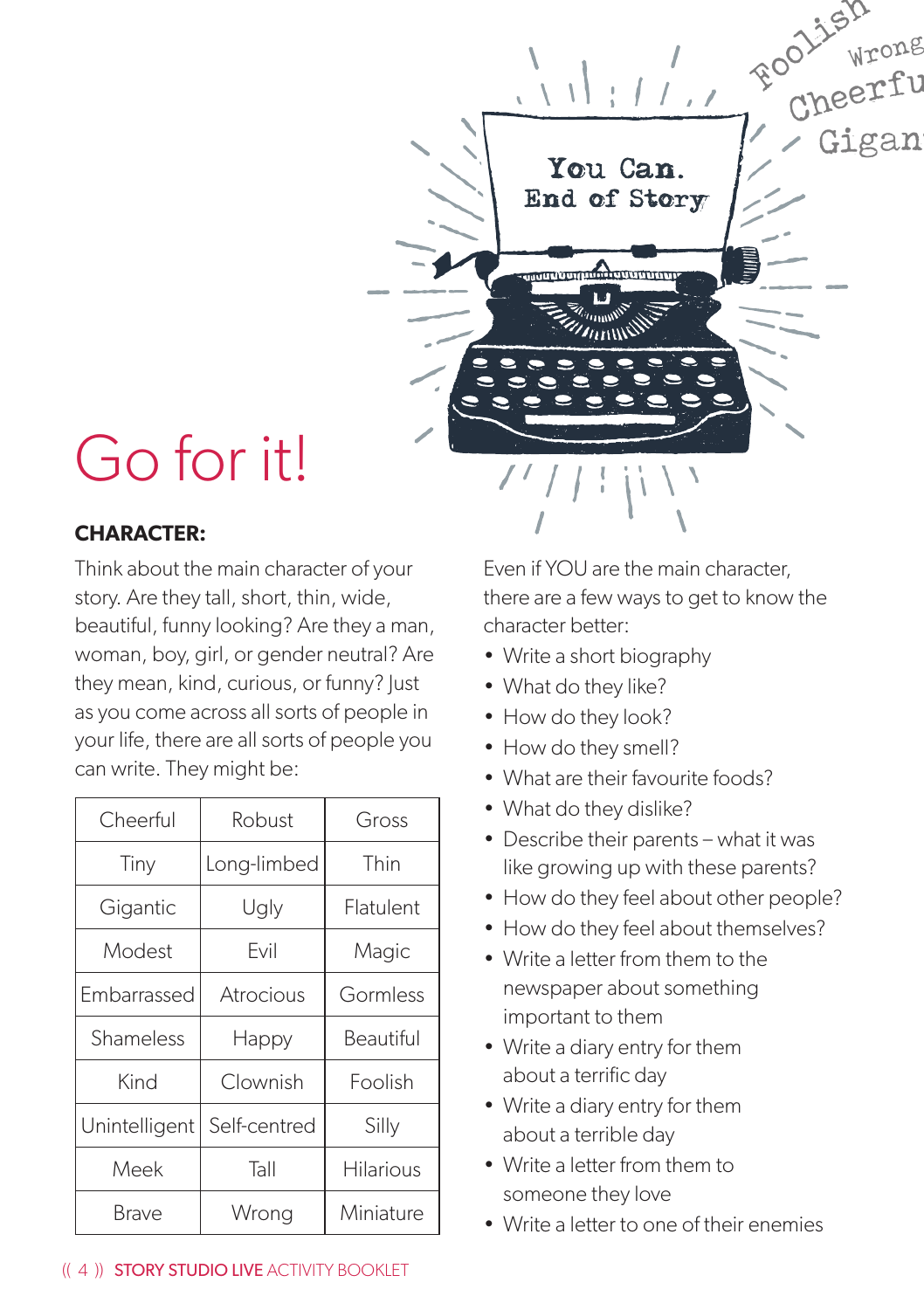

## Go for it!

## **CHARACTER:**

Think about the main character of your story. Are they tall, short, thin, wide, beautiful, funny looking? Are they a man, woman, boy, girl, or gender neutral? Are they mean, kind, curious, or funny? Just as you come across all sorts of people in your life, there are all sorts of people you can write. They might be:

| Cheerful      | Robust       | Gross            |
|---------------|--------------|------------------|
| Tiny          | Long-limbed  | Thin             |
| Gigantic      | Ugly         | Flatulent        |
| Modest        | Evil         | Magic            |
| Embarrassed   | Atrocious    | Gormless         |
| Shameless     | Happy        | Beautiful        |
| Kind          | Clownish     | Foolish          |
| Unintelligent | Self-centred | Silly            |
| Meek          | Tall         | <b>Hilarious</b> |
| Brave         | Wrong        | Miniature        |

Even if YOU are the main character, there are a few ways to get to know the character better:

- Write a short biography
- What do they like?
- How do they look?
- How do they smell?
- What are their favourite foods?
- What do they dislike?
- Describe their parents what it was like growing up with these parents?
- How do they feel about other people?
- How do they feel about themselves?
- Write a letter from them to the newspaper about something important to them
- Write a diary entry for them about a terrific day
- Write a diary entry for them about a terrible day
- Write a letter from them to someone they love
- Write a letter to one of their enemies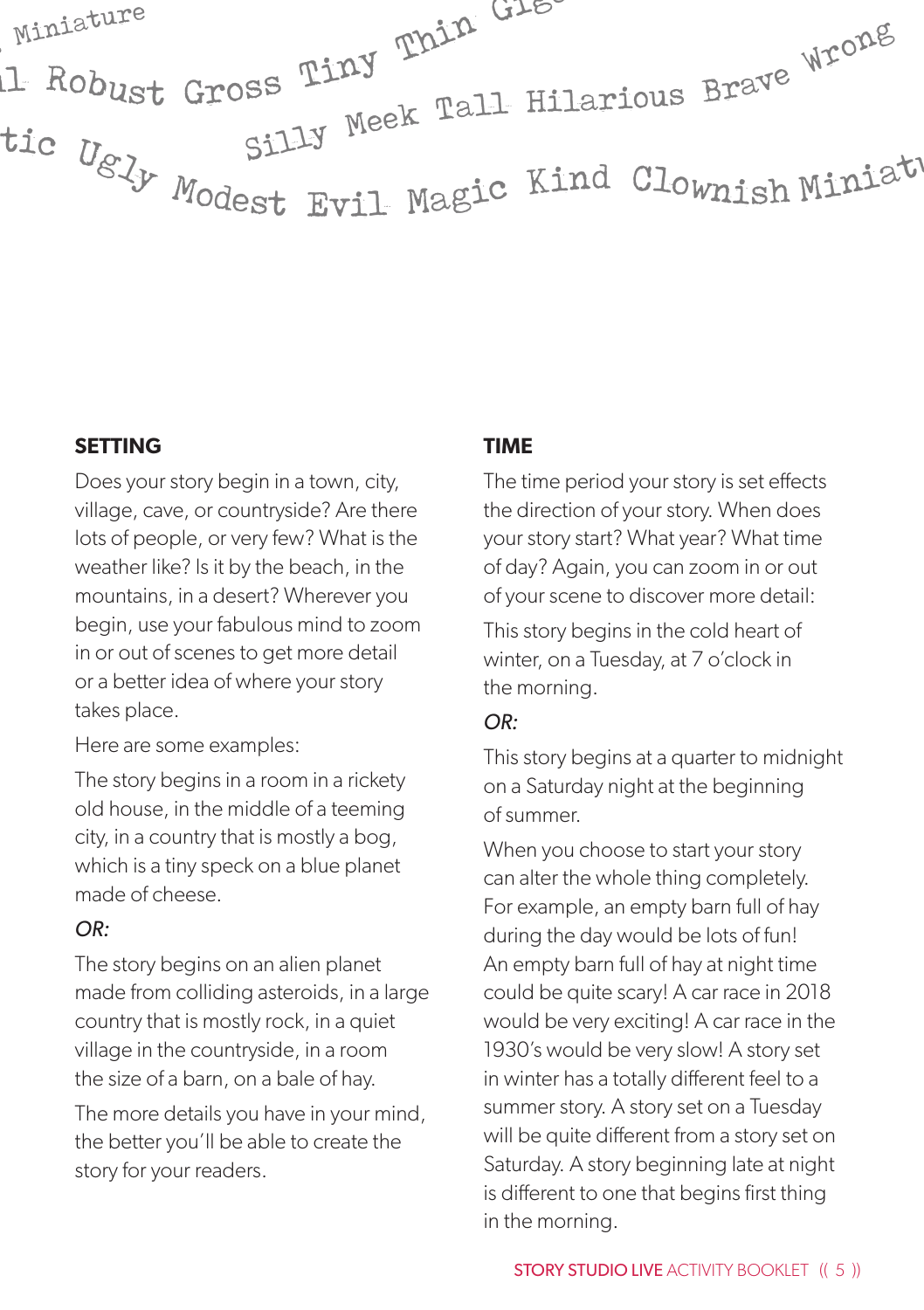

#### **SETTING**

Does your story begin in a town, city, village, cave, or countryside? Are there lots of people, or very few? What is the weather like? Is it by the beach, in the mountains, in a desert? Wherever you begin, use your fabulous mind to zoom in or out of scenes to get more detail or a better idea of where your story takes place.

Here are some examples:

The story begins in a room in a rickety old house, in the middle of a teeming city, in a country that is mostly a bog, which is a tiny speck on a blue planet made of cheese.

#### *OR:*

The story begins on an alien planet made from colliding asteroids, in a large country that is mostly rock, in a quiet village in the countryside, in a room the size of a barn, on a bale of hay.

The more details you have in your mind, the better you'll be able to create the story for your readers.

#### **TIME**

The time period your story is set effects the direction of your story. When does your story start? What year? What time of day? Again, you can zoom in or out of your scene to discover more detail:

This story begins in the cold heart of winter, on a Tuesday, at 7 o'clock in the morning.

#### *OR:*

This story begins at a quarter to midnight on a Saturday night at the beginning of summer.

When you choose to start your story can alter the whole thing completely. For example, an empty barn full of hay during the day would be lots of fun! An empty barn full of hay at night time could be quite scary! A car race in 2018 would be very exciting! A car race in the 1930's would be very slow! A story set in winter has a totally different feel to a summer story. A story set on a Tuesday will be quite different from a story set on Saturday. A story beginning late at night is different to one that begins first thing in the morning.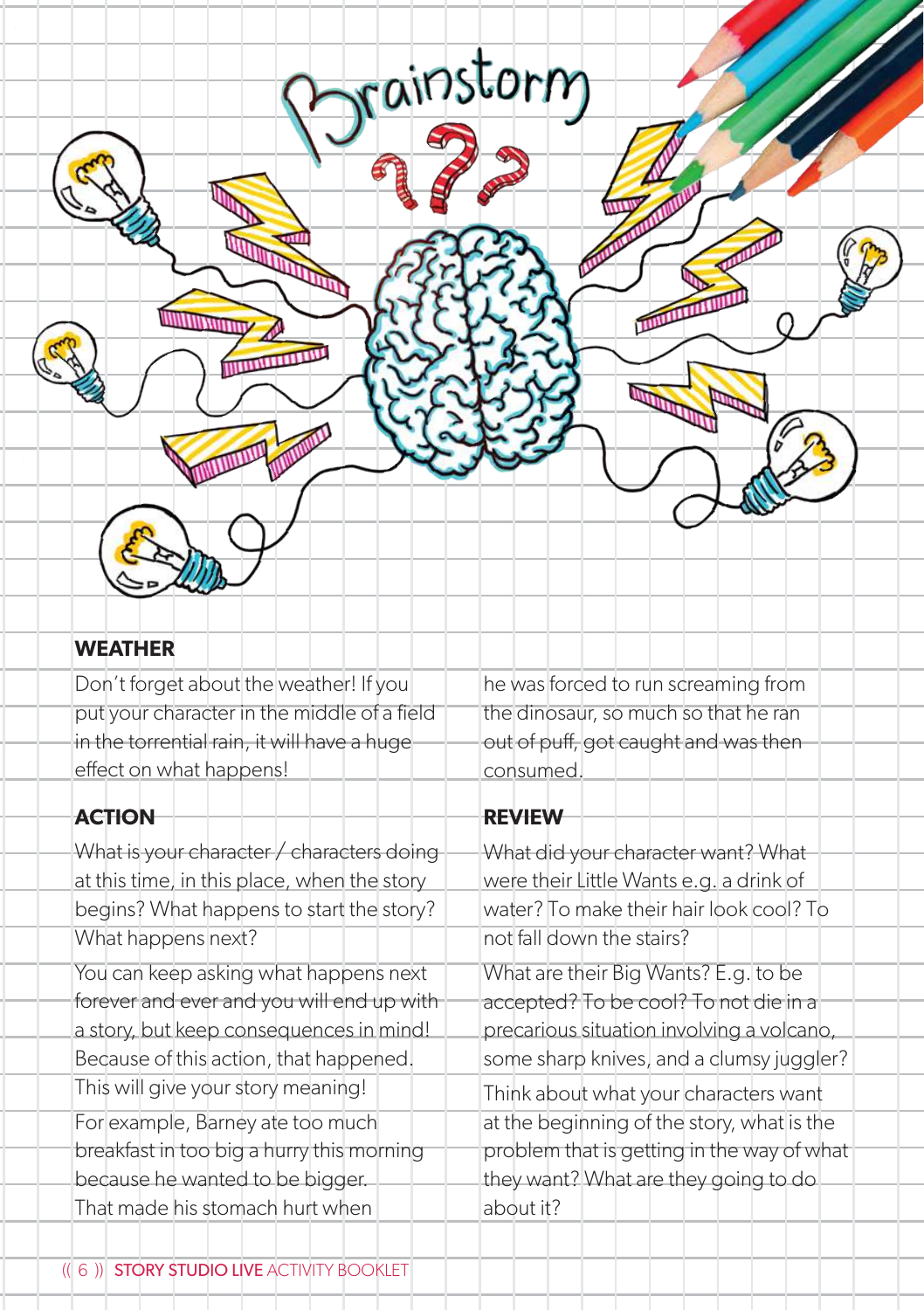

### **WEATHER**

Don't forget about the weather! If you put your character in the middle of a field in the torrential rain, it will have a huge effect on what happens!

### **ACTION**

What is your character / characters doing at this time, in this place, when the story begins? What happens to start the story? What happens next?

You can keep asking what happens next forever and ever and you will end up with a story, but keep consequences in mind! Because of this action, that happened. This will give your story meaning! For example, Barney ate too much breakfast in too big a hurry this morning because he wanted to be bigger. That made his stomach hurt when

he was forced to run screaming from the dinosaur, so much so that he ran out of puff, got caught and was then consumed.

## **REVIEW**

What did your character want? What were their Little Wants e.g. a drink of water? To make their hair look cool? To not fall down the stairs? What are their Big Wants? E.g. to be accepted? To be cool? To not die in a precarious situation involving a volcano, some sharp knives, and a clumsy juggler? Think about what your characters want at the beginning of the story, what is the problem that is getting in the way of what they want? What are they going to do about it?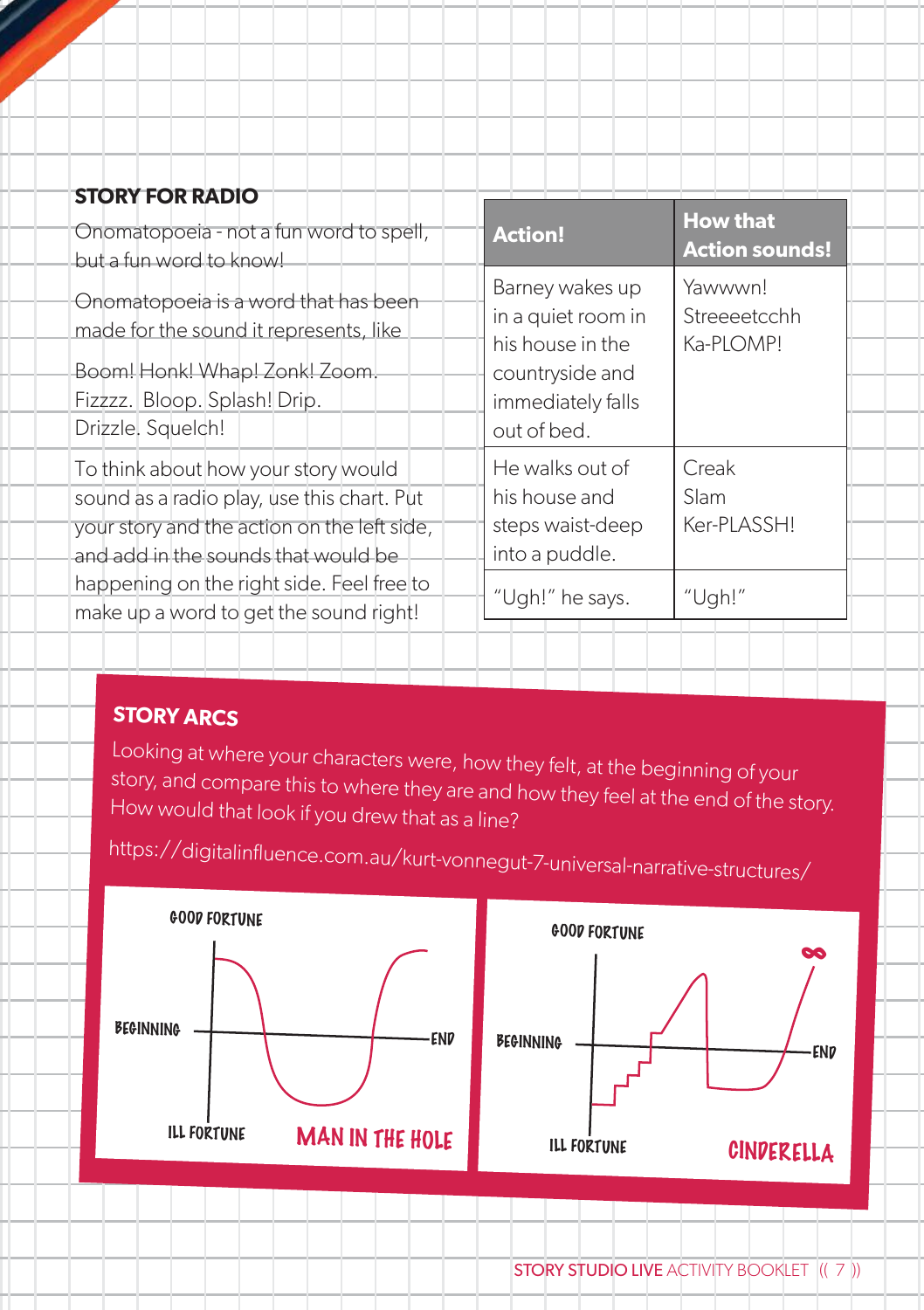| <b>STORY FOR RADIO</b>                                                                                                                                                  |                                                                                                                  |                                          |
|-------------------------------------------------------------------------------------------------------------------------------------------------------------------------|------------------------------------------------------------------------------------------------------------------|------------------------------------------|
| Onomatopoeia - not a fun word to spell,<br>but a fun word to know!                                                                                                      | <b>Action!</b>                                                                                                   | <b>How that</b><br><b>Action sounds!</b> |
| Onomatopoeia is a word that has been<br>made for the sound it represents, like<br>Boom! Honk! Whap! Zonk! Zoom.<br>Fizzzz. Bloop. Splash! Drip.<br>Drizzle. Squelch!    | Barney wakes up<br>in a quiet room in<br>his house in the<br>countryside and<br>immediately falls<br>out of bed. | Yawwwn!<br>Streeeetcchh<br>Ka-PLOMP!     |
| To think about how your story would<br>sound as a radio play, use this chart. Put<br>your story and the action on the left side,<br>and add in the sounds that would be | He walks out of<br>his house and<br>steps waist-deep<br>into a puddle.                                           | Creak<br>Slam<br>Ker-PLASSH!             |
| happening on the right side. Feel free to<br>make up a word to get the sound right!                                                                                     | "Ugh!" he says.                                                                                                  | "Ugh!"                                   |

## **STORY ARCS**

Looking at where your characters were, how they felt, at the beginning of your story, and compare this to where they are and how they feel at the end of the story. How would that look if you drew that as a line?

https://digitalinfluence.com.au/kurt-vonnegut-7-universal-narrative-structures/